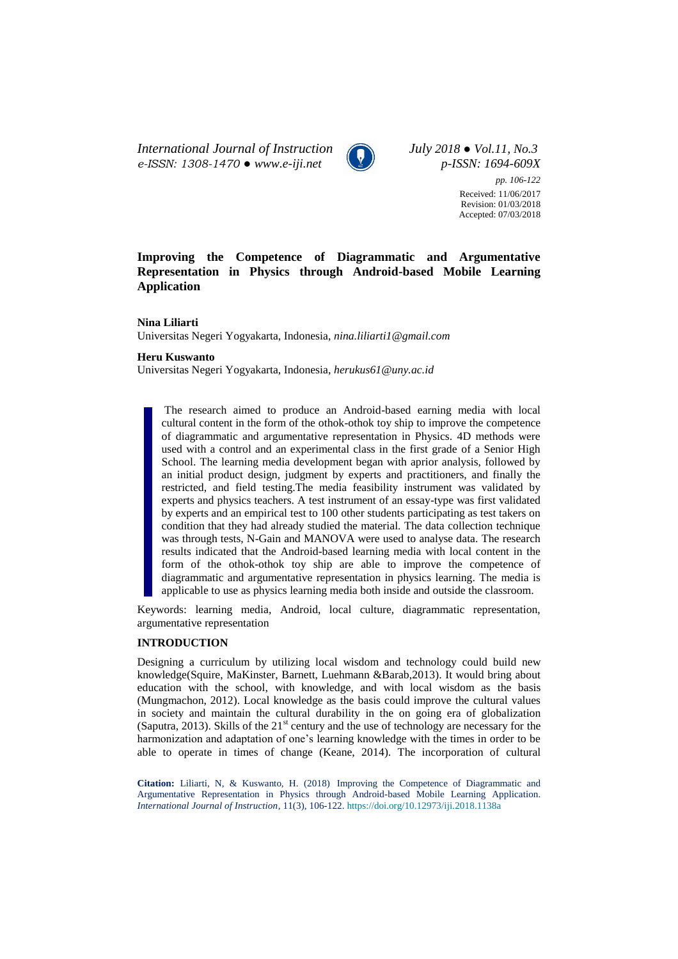*International Journal of Instruction July 2018 ● Vol.11, No.3 e-ISSN: 1308-1470 ● [www.e-iji.net](http://www.e-iji.net/) p-ISSN: 1694-609X*



*pp. 106-122* Received: 11/06/2017 Revision: 01/03/2018 Accepted: 07/03/2018

# **Improving the Competence of Diagrammatic and Argumentative Representation in Physics through Android-based Mobile Learning Application**

**Nina Liliarti**

Universitas Negeri Yogyakarta, Indonesia, *nina.liliarti1@gmail.com*

#### **Heru Kuswanto**

Universitas Negeri Yogyakarta, Indonesia, *herukus61@uny.ac.id*

The research aimed to produce an Android-based earning media with local cultural content in the form of the othok-othok toy ship to improve the competence of diagrammatic and argumentative representation in Physics. 4D methods were used with a control and an experimental class in the first grade of a Senior High School. The learning media development began with aprior analysis, followed by an initial product design, judgment by experts and practitioners, and finally the restricted, and field testing.The media feasibility instrument was validated by experts and physics teachers. A test instrument of an essay-type was first validated by experts and an empirical test to 100 other students participating as test takers on condition that they had already studied the material. The data collection technique was through tests, N-Gain and MANOVA were used to analyse data. The research results indicated that the Android-based learning media with local content in the form of the othok-othok toy ship are able to improve the competence of diagrammatic and argumentative representation in physics learning. The media is applicable to use as physics learning media both inside and outside the classroom.

Keywords: learning media*,* Android, local culture, diagrammatic representation, argumentative representation

### **INTRODUCTION**

Designing a curriculum by utilizing local wisdom and technology could build new knowledge(Squire, MaKinster, Barnett, Luehmann &Barab,2013). It would bring about education with the school, with knowledge, and with local wisdom as the basis (Mungmachon, 2012). Local knowledge as the basis could improve the cultural values in society and maintain the cultural durability in the on going era of globalization (Saputra, 2013). Skills of the  $21<sup>st</sup>$  century and the use of technology are necessary for the harmonization and adaptation of one's learning knowledge with the times in order to be able to operate in times of change (Keane, 2014). The incorporation of cultural

**Citation:** Liliarti, N, & Kuswanto, H. (2018) Improving the Competence of Diagrammatic and Argumentative Representation in Physics through Android-based Mobile Learning Application. *International Journal of Instruction*, 11(3), 106-122. <https://doi.org/10.12973/iji.2018.1138a>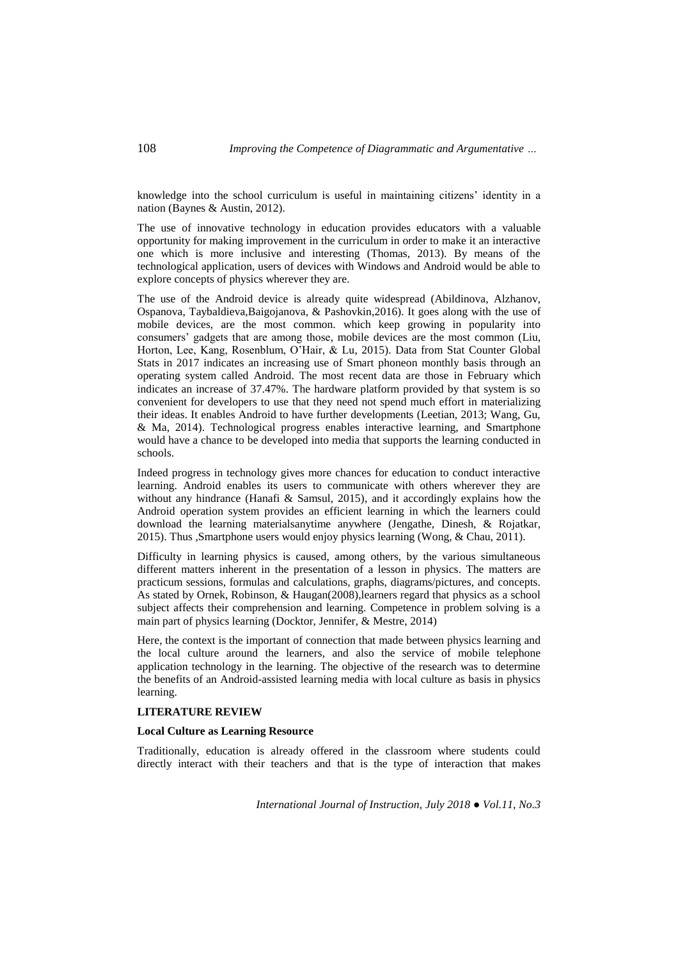knowledge into the school curriculum is useful in maintaining citizens' identity in a nation (Baynes & Austin, 2012).

The use of innovative technology in education provides educators with a valuable opportunity for making improvement in the curriculum in order to make it an interactive one which is more inclusive and interesting (Thomas, 2013). By means of the technological application, users of devices with Windows and Android would be able to explore concepts of physics wherever they are.

The use of the Android device is already quite widespread (Abildinova, Alzhanov, Ospanova, Taybaldieva,Baigojanova, & Pashovkin,2016). It goes along with the use of mobile devices, are the most common. which keep growing in popularity into consumers' gadgets that are among those, mobile devices are the most common (Liu, Horton, Lee, Kang, Rosenblum, O'Hair, & Lu, 2015). Data from Stat Counter Global Stats in 2017 indicates an increasing use of Smart phoneon monthly basis through an operating system called Android. The most recent data are those in February which indicates an increase of 37.47%. The hardware platform provided by that system is so convenient for developers to use that they need not spend much effort in materializing their ideas. It enables Android to have further developments (Leetian, 2013; Wang, Gu, & Ma, 2014). Technological progress enables interactive learning, and Smartphone would have a chance to be developed into media that supports the learning conducted in schools.

Indeed progress in technology gives more chances for education to conduct interactive learning. Android enables its users to communicate with others wherever they are without any hindrance (Hanafi  $\&$  Samsul, 2015), and it accordingly explains how the Android operation system provides an efficient learning in which the learners could download the learning materialsanytime anywhere (Jengathe, Dinesh, & Rojatkar, 2015). Thus ,Smartphone users would enjoy physics learning (Wong, & Chau, 2011).

Difficulty in learning physics is caused, among others, by the various simultaneous different matters inherent in the presentation of a lesson in physics. The matters are practicum sessions, formulas and calculations, graphs, diagrams/pictures, and concepts. As stated by Ornek, Robinson, & Haugan(2008),learners regard that physics as a school subject affects their comprehension and learning. Competence in problem solving is a main part of physics learning (Docktor, Jennifer, & Mestre, 2014)

Here, the context is the important of connection that made between physics learning and the local culture around the learners, and also the service of mobile telephone application technology in the learning. The objective of the research was to determine the benefits of an Android-assisted learning media with local culture as basis in physics learning.

#### **LITERATURE REVIEW**

#### **Local Culture as Learning Resource**

Traditionally, education is already offered in the classroom where students could directly interact with their teachers and that is the type of interaction that makes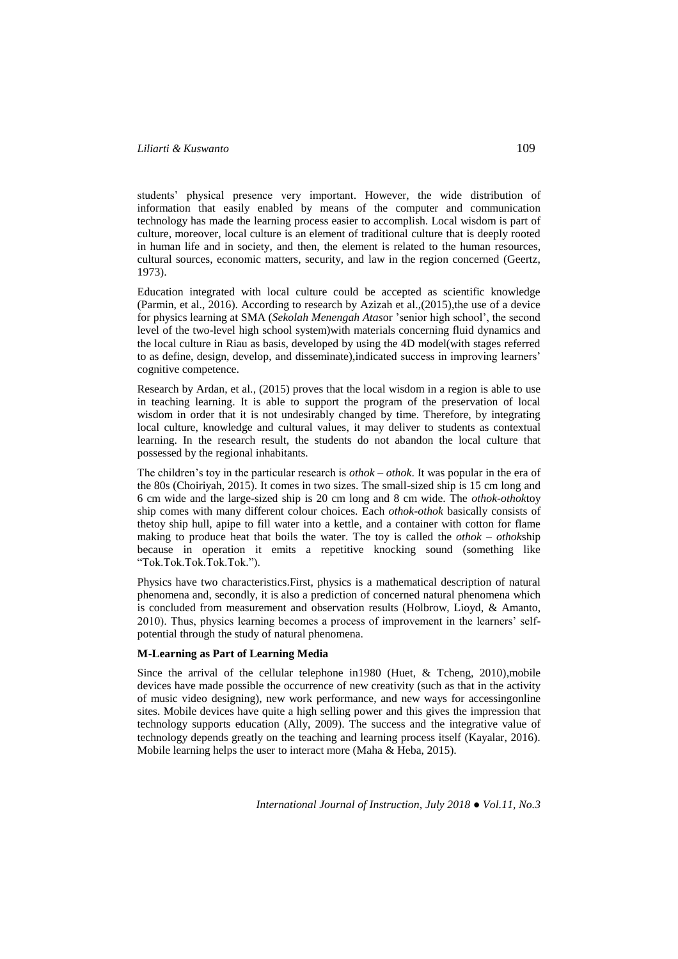students' physical presence very important. However, the wide distribution of information that easily enabled by means of the computer and communication technology has made the learning process easier to accomplish. Local wisdom is part of culture, moreover, local culture is an element of traditional culture that is deeply rooted in human life and in society, and then, the element is related to the human resources, cultural sources, economic matters, security, and law in the region concerned (Geertz, 1973).

Education integrated with local culture could be accepted as scientific knowledge (Parmin, et al., 2016). According to research by Azizah et al.,(2015), the use of a device for physics learning at SMA (*Sekolah Menengah Atas*or 'senior high school', the second level of the two-level high school system)with materials concerning fluid dynamics and the local culture in Riau as basis, developed by using the 4D model(with stages referred to as define, design, develop, and disseminate),indicated success in improving learners' cognitive competence.

Research by Ardan, et al., (2015) proves that the local wisdom in a region is able to use in teaching learning. It is able to support the program of the preservation of local wisdom in order that it is not undesirably changed by time. Therefore, by integrating local culture, knowledge and cultural values, it may deliver to students as contextual learning. In the research result, the students do not abandon the local culture that possessed by the regional inhabitants.

The children's toy in the particular research is *othok – othok*. It was popular in the era of the 80s (Choiriyah, 2015). It comes in two sizes. The small-sized ship is 15 cm long and 6 cm wide and the large-sized ship is 20 cm long and 8 cm wide. The *othok-othok*toy ship comes with many different colour choices. Each *othok-othok* basically consists of thetoy ship hull, apipe to fill water into a kettle, and a container with cotton for flame making to produce heat that boils the water. The toy is called the *othok – othok*ship because in operation it emits a repetitive knocking sound (something like "Tok.Tok.Tok.Tok.Tok.").

Physics have two characteristics.First, physics is a mathematical description of natural phenomena and, secondly, it is also a prediction of concerned natural phenomena which is concluded from measurement and observation results (Holbrow, Lioyd, & Amanto, 2010). Thus, physics learning becomes a process of improvement in the learners' selfpotential through the study of natural phenomena.

## **M-Learning as Part of Learning Media**

Since the arrival of the cellular telephone in1980 (Huet, & Tcheng, 2010),mobile devices have made possible the occurrence of new creativity (such as that in the activity of music video designing), new work performance, and new ways for accessingonline sites. Mobile devices have quite a high selling power and this gives the impression that technology supports education (Ally, 2009). The success and the integrative value of technology depends greatly on the teaching and learning process itself (Kayalar, 2016). Mobile learning helps the user to interact more (Maha & Heba, 2015).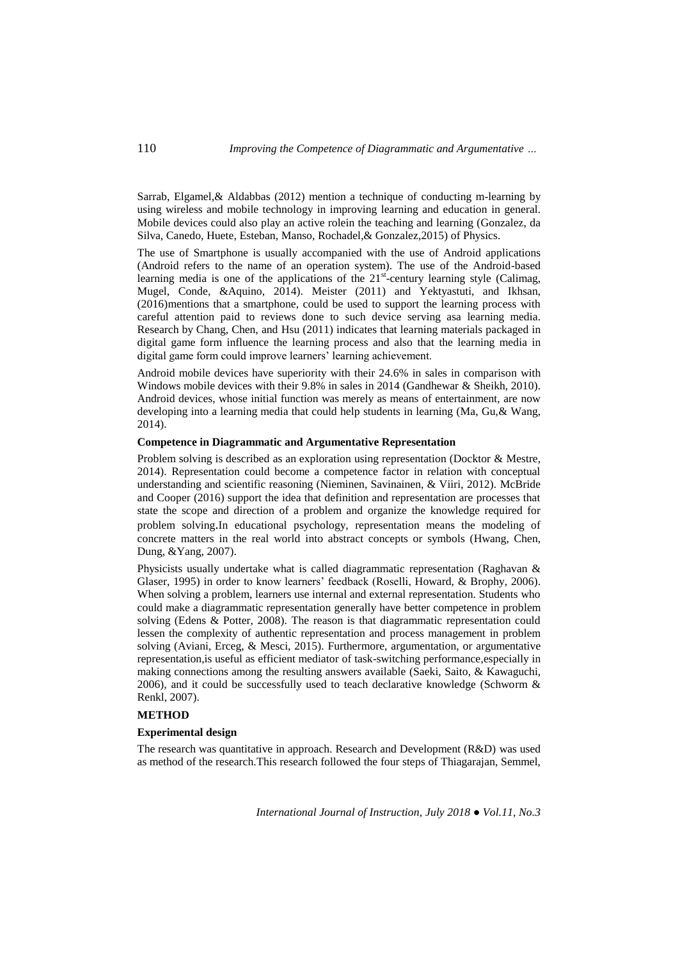Sarrab, Elgamel,& Aldabbas (2012) mention a technique of conducting m-learning by using wireless and mobile technology in improving learning and education in general. Mobile devices could also play an active rolein the teaching and learning (Gonzalez, da Silva, Canedo, Huete, Esteban, Manso, Rochadel,& Gonzalez,2015) of Physics.

The use of Smartphone is usually accompanied with the use of Android applications (Android refers to the name of an operation system). The use of the Android-based learning media is one of the applications of the  $21<sup>st</sup>$ -century learning style (Calimag, Mugel, Conde, &Aquino, 2014). Meister (2011) and Yektyastuti, and Ikhsan, (2016)mentions that a smartphone, could be used to support the learning process with careful attention paid to reviews done to such device serving asa learning media. Research by Chang, Chen, and Hsu (2011) indicates that learning materials packaged in digital game form influence the learning process and also that the learning media in digital game form could improve learners' learning achievement.

Android mobile devices have superiority with their 24.6% in sales in comparison with Windows mobile devices with their 9.8% in sales in 2014 (Gandhewar & Sheikh, 2010). Android devices, whose initial function was merely as means of entertainment, are now developing into a learning media that could help students in learning (Ma, Gu,& Wang, 2014).

## **Competence in Diagrammatic and Argumentative Representation**

Problem solving is described as an exploration using representation (Docktor & Mestre, 2014). Representation could become a competence factor in relation with conceptual understanding and scientific reasoning (Nieminen, Savinainen, & Viiri, 2012). McBride and Cooper (2016) support the idea that definition and representation are processes that state the scope and direction of a problem and organize the knowledge required for problem solving.In educational psychology, representation means the modeling of concrete matters in the real world into abstract concepts or symbols (Hwang, Chen, Dung, &Yang, 2007).

Physicists usually undertake what is called diagrammatic representation (Raghavan & Glaser, 1995) in order to know learners' feedback (Roselli, Howard, & Brophy, 2006). When solving a problem, learners use internal and external representation. Students who could make a diagrammatic representation generally have better competence in problem solving (Edens & Potter, 2008). The reason is that diagrammatic representation could lessen the complexity of authentic representation and process management in problem solving (Aviani, Erceg, & Mesci, 2015). Furthermore, argumentation, or argumentative representation,is useful as efficient mediator of task-switching performance,especially in making connections among the resulting answers available (Saeki, Saito, & Kawaguchi,  $2006$ ), and it could be successfully used to teach declarative knowledge (Schworm  $\&$ Renkl, 2007).

## **METHOD**

#### **Experimental design**

The research was quantitative in approach. Research and Development (R&D) was used as method of the research.This research followed the four steps of Thiagarajan, Semmel,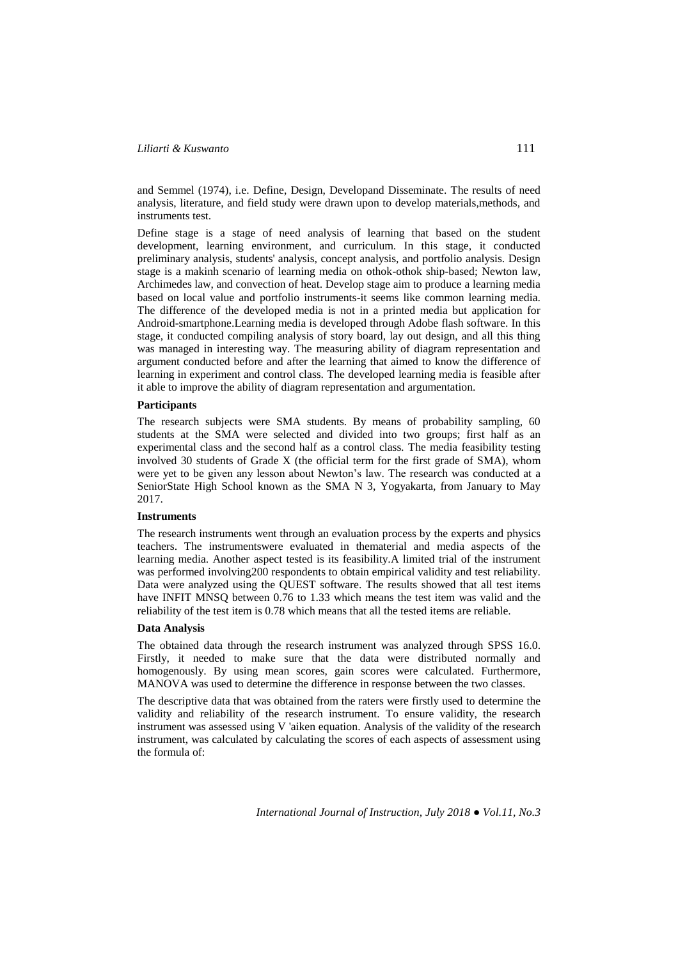and Semmel (1974), i.e. Define, Design, Developand Disseminate. The results of need analysis, literature, and field study were drawn upon to develop materials,methods, and instruments test.

Define stage is a stage of need analysis of learning that based on the student development, learning environment, and curriculum. In this stage, it conducted preliminary analysis, students' analysis, concept analysis, and portfolio analysis. Design stage is a makinh scenario of learning media on othok-othok ship-based; Newton law, Archimedes law, and convection of heat. Develop stage aim to produce a learning media based on local value and portfolio instruments-it seems like common learning media. The difference of the developed media is not in a printed media but application for Android-smartphone.Learning media is developed through Adobe flash software. In this stage, it conducted compiling analysis of story board, lay out design, and all this thing was managed in interesting way. The measuring ability of diagram representation and argument conducted before and after the learning that aimed to know the difference of learning in experiment and control class. The developed learning media is feasible after it able to improve the ability of diagram representation and argumentation.

## **Participants**

The research subjects were SMA students. By means of probability sampling, 60 students at the SMA were selected and divided into two groups; first half as an experimental class and the second half as a control class*.* The media feasibility testing involved 30 students of Grade X (the official term for the first grade of SMA), whom were yet to be given any lesson about Newton's law. The research was conducted at a SeniorState High School known as the SMA N 3, Yogyakarta, from January to May 2017.

#### **Instruments**

The research instruments went through an evaluation process by the experts and physics teachers. The instrumentswere evaluated in thematerial and media aspects of the learning media. Another aspect tested is its feasibility.A limited trial of the instrument was performed involving200 respondents to obtain empirical validity and test reliability. Data were analyzed using the QUEST software. The results showed that all test items have INFIT MNSQ between 0.76 to 1.33 which means the test item was valid and the reliability of the test item is 0.78 which means that all the tested items are reliable.

### **Data Analysis**

The obtained data through the research instrument was analyzed through SPSS 16.0. Firstly, it needed to make sure that the data were distributed normally and homogenously. By using mean scores, gain scores were calculated. Furthermore, MANOVA was used to determine the difference in response between the two classes.

The descriptive data that was obtained from the raters were firstly used to determine the validity and reliability of the research instrument. To ensure validity, the research instrument was assessed using V 'aiken equation. Analysis of the validity of the research instrument, was calculated by calculating the scores of each aspects of assessment using the formula of: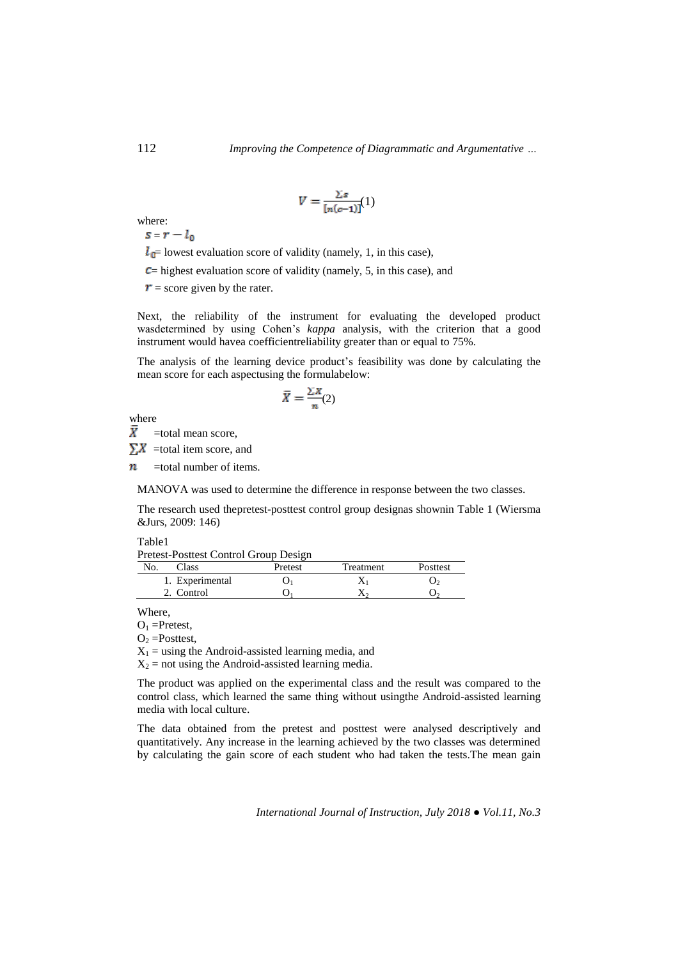$$
V = \frac{\sum s}{[n(c-1)]}(1)
$$

where:

 $s=r-l_0$ 

 $l_{\mathbb{C}}$  lowest evaluation score of validity (namely, 1, in this case),

 $\epsilon$  = highest evaluation score of validity (namely, 5, in this case), and

 $\mathbf{r}$  = score given by the rater.

Next, the reliability of the instrument for evaluating the developed product wasdetermined by using Cohen's *kappa* analysis, with the criterion that a good instrument would havea coefficientreliability greater than or equal to 75%.

The analysis of the learning device product's feasibility was done by calculating the mean score for each aspectusing the formulabelow:

$$
\bar{X} = \frac{\sum X}{n}(2)
$$

where

 $\bar{X}$ =total mean score,

 $\sum X$  =total item score, and

 $\boldsymbol{n}$ =total number of items.

MANOVA was used to determine the difference in response between the two classes.

The research used thepretest-posttest control group designas shownin Table 1 (Wiersma &Jurs, 2009: 146)

Table1

|  | Pretest-Posttest Control Group Design |
|--|---------------------------------------|
|  |                                       |

| N <sub>0</sub><br>`lass | Pretest | Treatment | <b>Posttest</b> |
|-------------------------|---------|-----------|-----------------|
| 1. Experimental         |         |           |                 |
| 2. Control              |         |           |                 |

Where,

 $O_1$  =Pretest,

 $O_2$  =Posttest,

 $X_1$  = using the Android-assisted learning media, and

 $X_2$  = not using the Android-assisted learning media.

The product was applied on the experimental class and the result was compared to the control class, which learned the same thing without usingthe Android-assisted learning media with local culture.

The data obtained from the pretest and posttest were analysed descriptively and quantitatively. Any increase in the learning achieved by the two classes was determined by calculating the gain score of each student who had taken the tests.The mean gain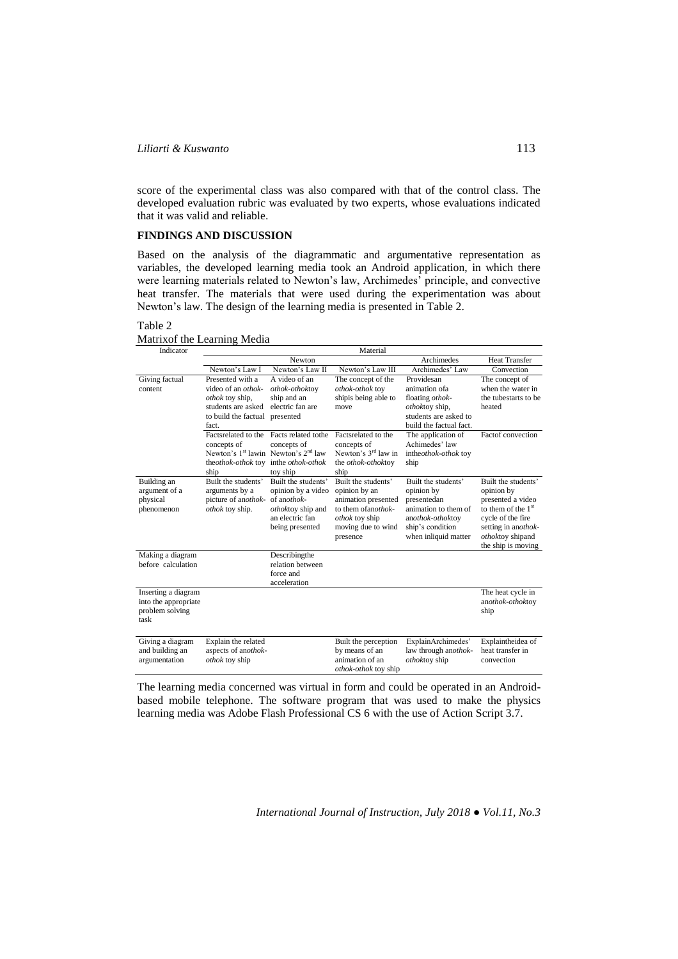score of the experimental class was also compared with that of the control class. The developed evaluation rubric was evaluated by two experts, whose evaluations indicated that it was valid and reliable.

### **FINDINGS AND DISCUSSION**

Based on the analysis of the diagrammatic and argumentative representation as variables, the developed learning media took an Android application, in which there were learning materials related to Newton's law, Archimedes' principle, and convective heat transfer. The materials that were used during the experimentation was about Newton's law. The design of the learning media is presented in Table 2.

### Table 2

Matrixof the Learning Media

| Indicator            | Material                                                    |                          |                       |                         |                          |
|----------------------|-------------------------------------------------------------|--------------------------|-----------------------|-------------------------|--------------------------|
|                      |                                                             | Newton                   |                       | Archimedes              | <b>Heat Transfer</b>     |
|                      | Newton's Law I                                              | Newton's Law II          | Newton's Law III      | Archimedes' Law         | Convection               |
| Giving factual       | Presented with a                                            | A video of an            | The concept of the    | Providesan              | The concept of           |
| content              | video of an <i>othok</i> -                                  | othok-othoktoy           | othok-othok toy       | animation of a          | when the water in        |
|                      | othok toy ship,                                             | ship and an              | shipis being able to  | floating othok-         | the tubestarts to be     |
|                      | students are asked                                          | electric fan are         | move                  | othoktoy ship,          | heated                   |
|                      | to build the factual                                        | presented                |                       | students are asked to   |                          |
|                      | fact.                                                       |                          |                       | build the factual fact. |                          |
|                      | Factsrelated to the                                         | Facts related to the     | Factsrelated to the   | The application of      | <b>Factof</b> convection |
|                      | concepts of                                                 | concepts of              | concepts of           | Achimedes' law          |                          |
|                      | Newton's 1 <sup>st</sup> lawin Newton's 2 <sup>nd</sup> law |                          | Newton's $3rd$ law in | intheothok-othok toy    |                          |
|                      | theothok-othok toy                                          | inthe <i>othok-othok</i> | the othok-othoktoy    | ship                    |                          |
|                      | ship                                                        | toy ship                 | ship                  |                         |                          |
| Building an          | Built the students'                                         | Built the students'      | Built the students'   | Built the students'     | Built the students'      |
| argument of a        | arguments by a                                              | opinion by a video       | opinion by an         | opinion by              | opinion by               |
| physical             | picture of anothok-                                         | of anothok-              | animation presented   | presentedan             | presented a video        |
| phenomenon           | othok toy ship.                                             | othoktoy ship and        | to them of anothok-   | animation to them of    | to them of the $1st$     |
|                      |                                                             | an electric fan          | <i>othok</i> toy ship | anothok-othoktoy        | cycle of the fire        |
|                      |                                                             | being presented          | moving due to wind    | ship's condition        | setting in anothok-      |
|                      |                                                             |                          | presence              | when inliquid matter    | othoktoy shipand         |
|                      |                                                             |                          |                       |                         | the ship is moving       |
| Making a diagram     |                                                             | Describingthe            |                       |                         |                          |
| before calculation   |                                                             | relation between         |                       |                         |                          |
|                      |                                                             | force and                |                       |                         |                          |
|                      |                                                             | acceleration             |                       |                         |                          |
| Inserting a diagram  |                                                             |                          |                       |                         | The heat cycle in        |
| into the appropriate |                                                             |                          |                       |                         | anothok-othoktoy         |
| problem solving      |                                                             |                          |                       |                         | ship                     |
| task                 |                                                             |                          |                       |                         |                          |
|                      |                                                             |                          |                       |                         |                          |
| Giving a diagram     | Explain the related                                         |                          | Built the perception  | ExplainArchimedes'      | Explaintheidea of        |
| and building an      | aspects of anothok-                                         |                          | by means of an        | law through anothok-    | heat transfer in         |
| argumentation        | othok toy ship                                              |                          | animation of an       | othoktoy ship           | convection               |
|                      |                                                             |                          | othok-othok toy ship  |                         |                          |

The learning media concerned was virtual in form and could be operated in an Androidbased mobile telephone. The software program that was used to make the physics learning media was Adobe Flash Professional CS 6 with the use of Action Script 3.7.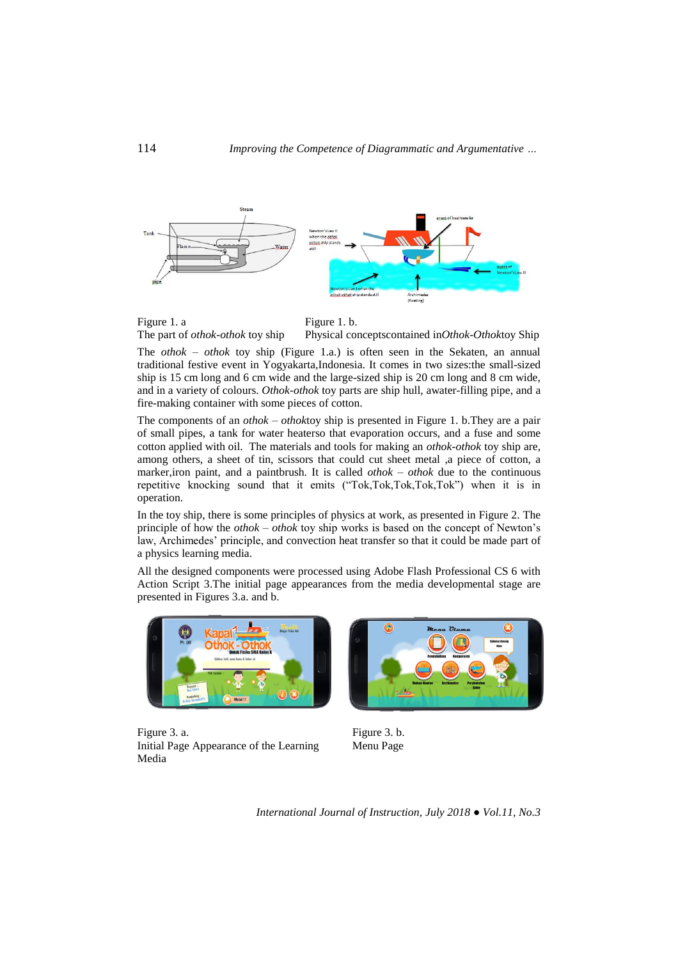



The *othok – othok* toy ship (Figure 1.a.) is often seen in the Sekaten, an annual traditional festive event in Yogyakarta,Indonesia. It comes in two sizes:the small-sized ship is 15 cm long and 6 cm wide and the large-sized ship is 20 cm long and 8 cm wide, and in a variety of colours. *Othok-othok* toy parts are ship hull, awater-filling pipe, and a fire-making container with some pieces of cotton.

The components of an *othok – othok*toy ship is presented in Figure 1. b.They are a pair of small pipes, a tank for water heaterso that evaporation occurs, and a fuse and some cotton applied with oil. The materials and tools for making an *othok-othok* toy ship are, among others, a sheet of tin, scissors that could cut sheet metal ,a piece of cotton, a marker,iron paint, and a paintbrush. It is called *othok – othok* due to the continuous repetitive knocking sound that it emits ("Tok,Tok,Tok,Tok,Tok") when it is in operation.

In the toy ship, there is some principles of physics at work, as presented in Figure 2. The principle of how the *othok – othok* toy ship works is based on the concept of Newton's law, Archimedes' principle, and convection heat transfer so that it could be made part of a physics learning media.

All the designed components were processed using Adobe Flash Professional CS 6 with Action Script 3.The initial page appearances from the media developmental stage are presented in Figures 3.a. and b.



Figure 3. a. Initial Page Appearance of the Learning Media



Figure 3. b. Menu Page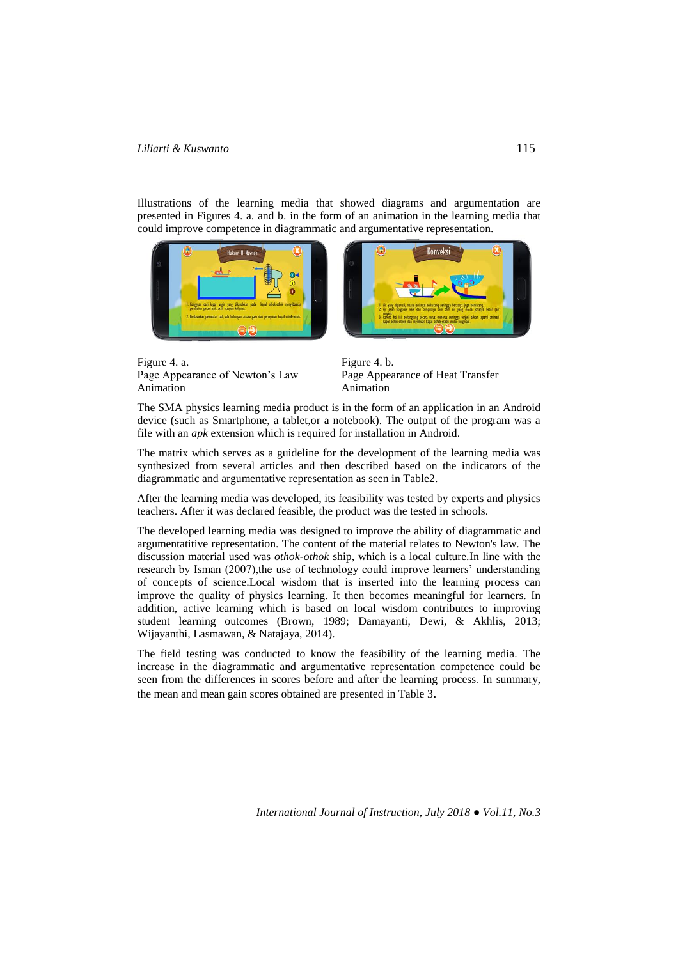Illustrations of the learning media that showed diagrams and argumentation are presented in Figures 4. a. and b. in the form of an animation in the learning media that could improve competence in diagrammatic and argumentative representation.





Figure 4. b. Page Appearance of Heat Transfer Animation

The SMA physics learning media product is in the form of an application in an Android device (such as Smartphone, a tablet*,*or a notebook). The output of the program was a file with an *apk* extension which is required for installation in Android.

The matrix which serves as a guideline for the development of the learning media was synthesized from several articles and then described based on the indicators of the diagrammatic and argumentative representation as seen in Table2.

After the learning media was developed, its feasibility was tested by experts and physics teachers. After it was declared feasible, the product was the tested in schools.

The developed learning media was designed to improve the ability of diagrammatic and argumentatitive representation. The content of the material relates to Newton's law. The discussion material used was *othok-othok* ship, which is a local culture.In line with the research by Isman (2007), the use of technology could improve learners' understanding of concepts of science.Local wisdom that is inserted into the learning process can improve the quality of physics learning. It then becomes meaningful for learners. In addition, active learning which is based on local wisdom contributes to improving student learning outcomes (Brown, 1989; Damayanti, Dewi, & Akhlis, 2013; Wijayanthi, Lasmawan, & Natajaya, 2014).

The field testing was conducted to know the feasibility of the learning media. The increase in the diagrammatic and argumentative representation competence could be seen from the differences in scores before and after the learning process. In summary, the mean and mean gain scores obtained are presented in Table 3.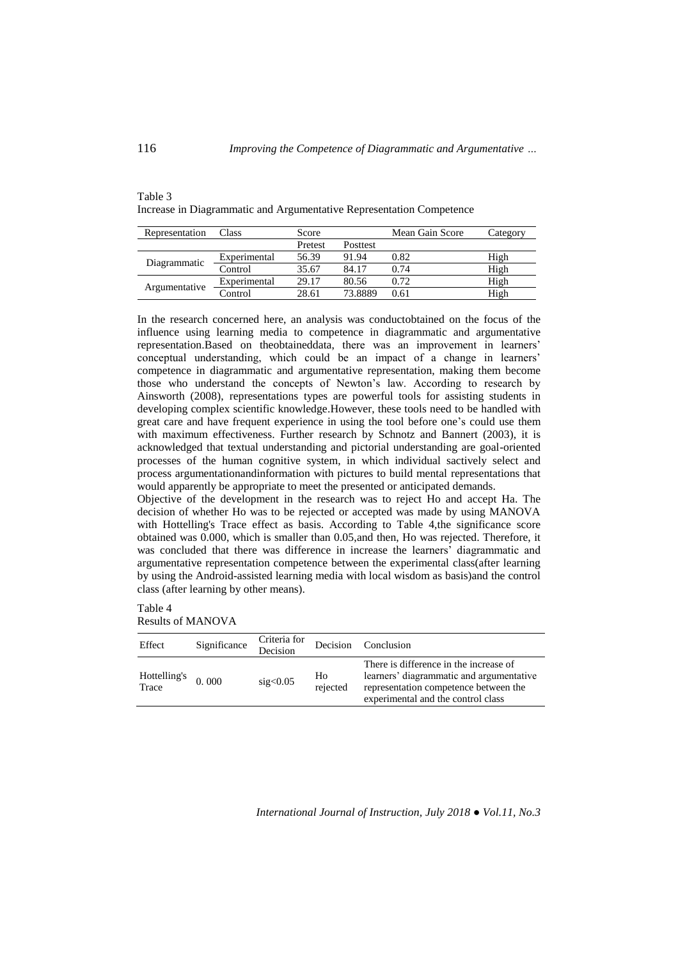| Table 3 |                                                                      |
|---------|----------------------------------------------------------------------|
|         | Increase in Diagrammatic and Argumentative Representation Competence |

| Representation | Class        | Score   |                 | Mean Gain Score | Category |
|----------------|--------------|---------|-----------------|-----------------|----------|
|                |              | Pretest | <b>Posttest</b> |                 |          |
| Diagrammatic   | Experimental | 56.39   | 91.94           | 0.82            | High     |
|                | Control      | 35.67   | 84.17           | 0.74            | High     |
| Argumentative  | Experimental | 29.17   | 80.56           | 0.72            | High     |
|                | Control      | 28.61   | 73.8889         | 0.61            | High     |

In the research concerned here, an analysis was conductobtained on the focus of the influence using learning media to competence in diagrammatic and argumentative representation.Based on theobtaineddata, there was an improvement in learners' conceptual understanding, which could be an impact of a change in learners' competence in diagrammatic and argumentative representation, making them become those who understand the concepts of Newton's law. According to research by Ainsworth (2008), representations types are powerful tools for assisting students in developing complex scientific knowledge.However, these tools need to be handled with great care and have frequent experience in using the tool before one's could use them with maximum effectiveness. Further research by Schnotz and Bannert (2003), it is acknowledged that textual understanding and pictorial understanding are goal-oriented processes of the human cognitive system, in which individual sactively select and process argumentationandinformation with pictures to build mental representations that would apparently be appropriate to meet the presented or anticipated demands.

Objective of the development in the research was to reject Ho and accept Ha. The decision of whether Ho was to be rejected or accepted was made by using MANOVA with Hottelling's Trace effect as basis. According to Table 4,the significance score obtained was 0.000, which is smaller than 0.05,and then, Ho was rejected. Therefore, it was concluded that there was difference in increase the learners' diagrammatic and argumentative representation competence between the experimental class(after learning by using the Android-assisted learning media with local wisdom as basis)and the control class (after learning by other means).

Table 4 Results of MANOVA

| Effect                | Significance | Criteria for<br>Decision | Decision                   | Conclusion                                                                                                                                                        |
|-----------------------|--------------|--------------------------|----------------------------|-------------------------------------------------------------------------------------------------------------------------------------------------------------------|
| Hottelling's<br>Trace | 0.000        | sig<0.05                 | H <sub>0</sub><br>rejected | There is difference in the increase of<br>learners' diagrammatic and argumentative<br>representation competence between the<br>experimental and the control class |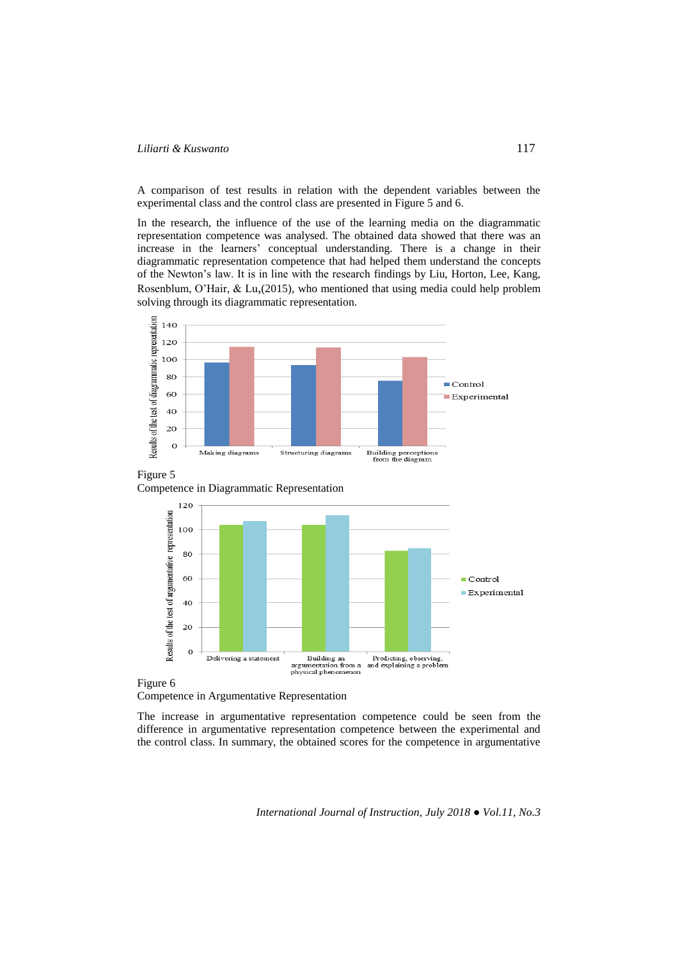A comparison of test results in relation with the dependent variables between the experimental class and the control class are presented in Figure 5 and 6.

In the research, the influence of the use of the learning media on the diagrammatic representation competence was analysed. The obtained data showed that there was an increase in the learners' conceptual understanding. There is a change in their diagrammatic representation competence that had helped them understand the concepts of the Newton's law. It is in line with the research findings by Liu, Horton, Lee, Kang, Rosenblum, O'Hair, & Lu,(2015), who mentioned that using media could help problem solving through its diagrammatic representation.







Competence in Argumentative Representation

The increase in argumentative representation competence could be seen from the difference in argumentative representation competence between the experimental and the control class. In summary, the obtained scores for the competence in argumentative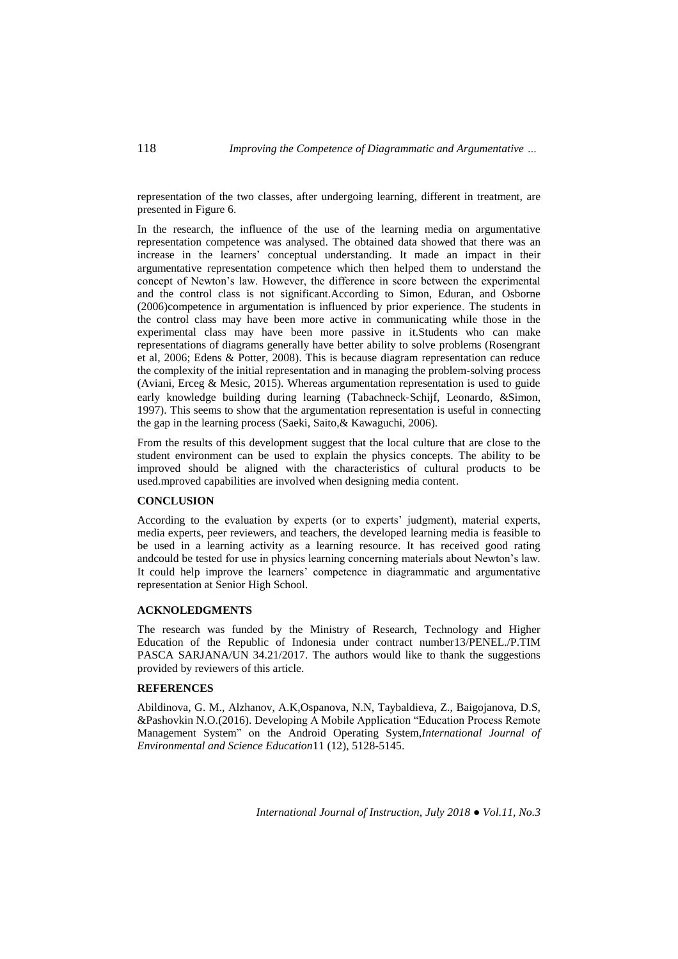representation of the two classes, after undergoing learning, different in treatment, are presented in Figure 6.

In the research, the influence of the use of the learning media on argumentative representation competence was analysed. The obtained data showed that there was an increase in the learners' conceptual understanding. It made an impact in their argumentative representation competence which then helped them to understand the concept of Newton's law. However, the difference in score between the experimental and the control class is not significant.According to Simon, Eduran, and Osborne (2006)competence in argumentation is influenced by prior experience. The students in the control class may have been more active in communicating while those in the experimental class may have been more passive in it.Students who can make representations of diagrams generally have better ability to solve problems (Rosengrant et al, 2006; Edens & Potter, 2008). This is because diagram representation can reduce the complexity of the initial representation and in managing the problem-solving process (Aviani, Erceg & Mesic, 2015). Whereas argumentation representation is used to guide early knowledge building during learning (Tabachneck‐Schijf, Leonardo, &Simon, 1997). This seems to show that the argumentation representation is useful in connecting the gap in the learning process (Saeki, Saito,& Kawaguchi, 2006).

From the results of this development suggest that the local culture that are close to the student environment can be used to explain the physics concepts. The ability to be improved should be aligned with the characteristics of cultural products to be used.mproved capabilities are involved when designing media content.

## **CONCLUSION**

According to the evaluation by experts (or to experts' judgment), material experts, media experts, peer reviewers, and teachers, the developed learning media is feasible to be used in a learning activity as a learning resource. It has received good rating andcould be tested for use in physics learning concerning materials about Newton's law. It could help improve the learners' competence in diagrammatic and argumentative representation at Senior High School.

## **ACKNOLEDGMENTS**

The research was funded by the Ministry of Research, Technology and Higher Education of the Republic of Indonesia under contract number13/PENEL./P.TIM PASCA SARJANA/UN 34.21/2017. The authors would like to thank the suggestions provided by reviewers of this article.

#### **REFERENCES**

Abildinova, G. M., Alzhanov, A.K,Ospanova, N.N, Taybaldieva, Z., Baigojanova, D.S, &Pashovkin N.O.(2016). Developing A Mobile Application "Education Process Remote Management System" on the Android Operating System,*International Journal of Environmental and Science Education*11 (12), 5128-5145.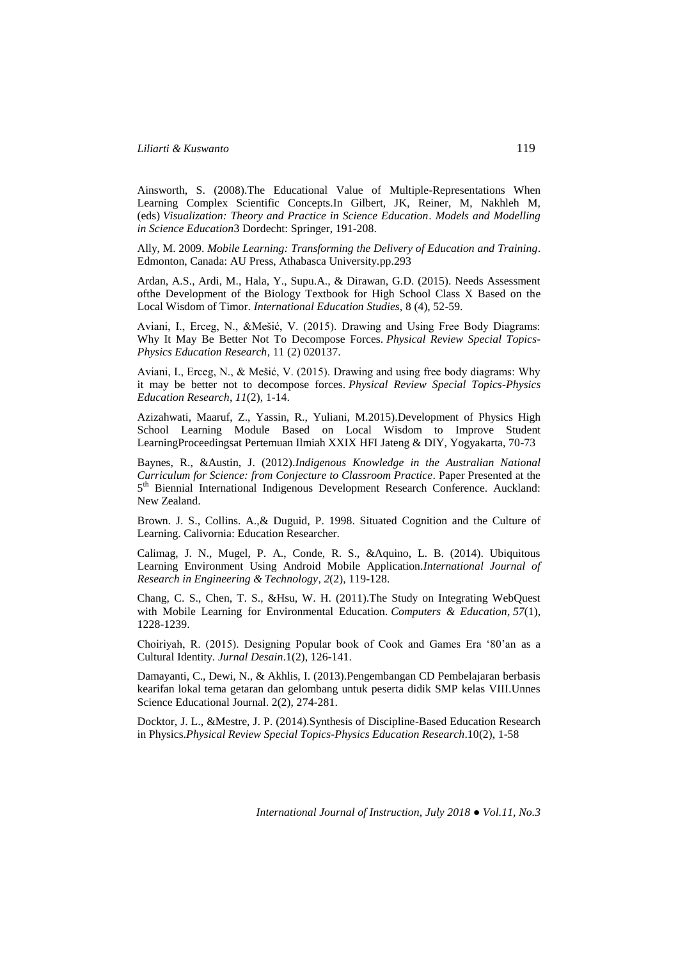Ainsworth, S. (2008).The Educational Value of Multiple-Representations When Learning Complex Scientific Concepts.In Gilbert, JK, Reiner, M, Nakhleh M, (eds) *Visualization: Theory and Practice in Science Education*. *Models and Modelling in Science Education*3 Dordecht: Springer, 191-208.

Ally, M. 2009. *Mobile Learning: Transforming the Delivery of Education and Training*. Edmonton, Canada: AU Press, Athabasca University.pp.293

Ardan, A.S., Ardi, M., Hala, Y., Supu.A., & Dirawan, G.D. (2015). Needs Assessment ofthe Development of the Biology Textbook for High School Class X Based on the Local Wisdom of Timor. *International Education Studies,* 8 (4), 52-59.

Aviani, I., Erceg, N., &Mešić, V. (2015). Drawing and Using Free Body Diagrams: Why It May Be Better Not To Decompose Forces. *Physical Review Special Topics-Physics Education Research*, 11 (2) 020137.

Aviani, I., Erceg, N., & Mešić, V. (2015). Drawing and using free body diagrams: Why it may be better not to decompose forces. *Physical Review Special Topics-Physics Education Research*, *11*(2), 1-14.

Azizahwati, Maaruf, Z., Yassin, R., Yuliani, M.2015).Development of Physics High School Learning Module Based on Local Wisdom to Improve Student LearningProceedingsat Pertemuan Ilmiah XXIX HFI Jateng & DIY, Yogyakarta, 70-73

Baynes, R., &Austin, J. (2012).*Indigenous Knowledge in the Australian National Curriculum for Science: from Conjecture to Classroom Practice*. Paper Presented at the 5<sup>th</sup> Biennial International Indigenous Development Research Conference. Auckland: New Zealand.

Brown. J. S., Collins. A.,& Duguid, P. 1998. Situated Cognition and the Culture of Learning. Calivornia: Education Researcher.

Calimag, J. N., Mugel, P. A., Conde, R. S., &Aquino, L. B. (2014). Ubiquitous Learning Environment Using Android Mobile Application.*International Journal of Research in Engineering & Technology*, *2*(2), 119-128.

Chang, C. S., Chen, T. S., &Hsu, W. H. (2011).The Study on Integrating WebQuest with Mobile Learning for Environmental Education. *Computers & Education*, *57*(1), 1228-1239.

Choiriyah, R. (2015). Designing Popular book of Cook and Games Era '80'an as a Cultural Identity. *Jurnal Desain*.1(2), 126-141.

Damayanti, C., Dewi, N., & Akhlis, I. (2013).Pengembangan CD Pembelajaran berbasis kearifan lokal tema getaran dan gelombang untuk peserta didik SMP kelas VIII.Unnes Science Educational Journal. 2(2), 274-281.

Docktor, J. L., &Mestre, J. P. (2014).Synthesis of Discipline-Based Education Research in Physics.*Physical Review Special Topics-Physics Education Research*.10(2), 1-58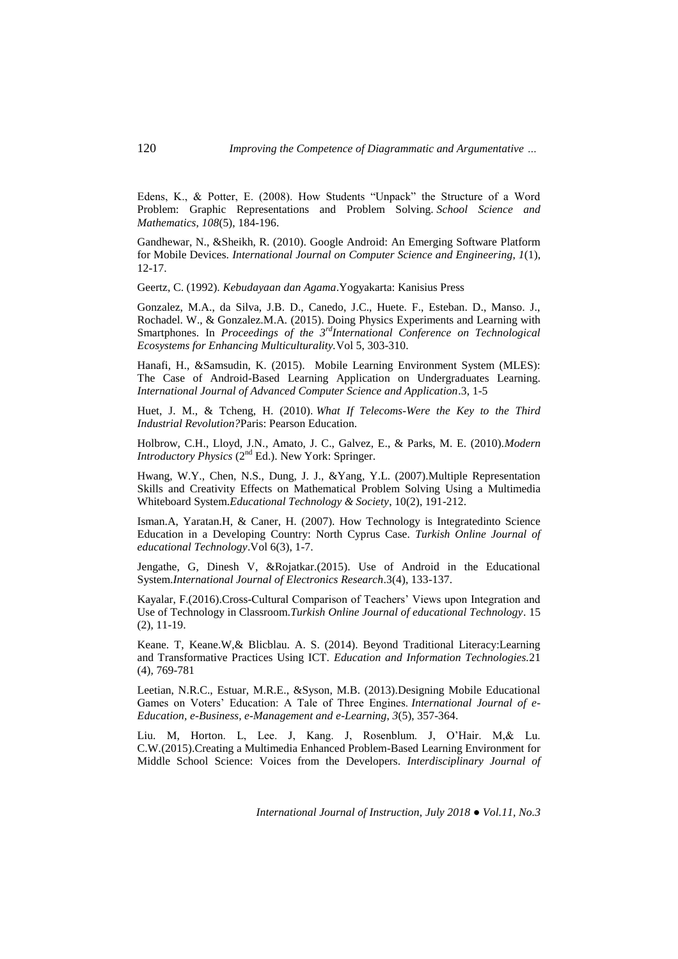Edens, K., & Potter, E. (2008). How Students "Unpack" the Structure of a Word Problem: Graphic Representations and Problem Solving. *School Science and Mathematics*, *108*(5), 184-196.

Gandhewar, N., &Sheikh, R. (2010). Google Android: An Emerging Software Platform for Mobile Devices. *International Journal on Computer Science and Engineering*, *1*(1), 12-17.

Geertz, C. (1992). *Kebudayaan dan Agama*.Yogyakarta: Kanisius Press

Gonzalez, M.A., da Silva, J.B. D., Canedo, J.C., Huete. F., Esteban. D., Manso. J., Rochadel. W., & Gonzalez.M.A*.* (2015). Doing Physics Experiments and Learning with Smartphones. In *Proceedings of the 3rdInternational Conference on Technological Ecosystems for Enhancing Multiculturality.*Vol 5, 303-310.

Hanafi, H., &Samsudin, K. (2015). Mobile Learning Environment System (MLES): The Case of Android-Based Learning Application on Undergraduates Learning. *International Journal of Advanced Computer Science and Application*.3, 1-5

Huet, J. M., & Tcheng, H. (2010). *What If Telecoms-Were the Key to the Third Industrial Revolution?*Paris: Pearson Education.

Holbrow, C.H., Lloyd, J.N., Amato, J. C., Galvez, E., & Parks, M. E. (2010).*Modern Introductory Physics*  $(2^{nd} Ed.)$ . New York: Springer.

Hwang, W.Y., Chen, N.S., Dung, J. J., &Yang, Y.L. (2007).Multiple Representation Skills and Creativity Effects on Mathematical Problem Solving Using a Multimedia Whiteboard System.*Educational Technology & Society*, 10(2), 191-212.

Isman.A, Yaratan.H, & Caner, H. (2007). How Technology is Integratedinto Science Education in a Developing Country: North Cyprus Case. *Turkish Online Journal of educational Technology*.Vol 6(3), 1-7.

Jengathe, G, Dinesh V, &Rojatkar.(2015). Use of Android in the Educational System.*International Journal of Electronics Research*.3(4), 133-137.

Kayalar, F.(2016).Cross-Cultural Comparison of Teachers' Views upon Integration and Use of Technology in Classroom.*Turkish Online Journal of educational Technology*. 15 (2), 11-19.

Keane. T, Keane.W,& Blicblau. A. S. (2014). Beyond Traditional Literacy:Learning and Transformative Practices Using ICT. *Education and Information Technologies.*21 (4)*,* 769-781

Leetian, N.R.C., Estuar, M.R.E., &Syson, M.B. (2013).Designing Mobile Educational Games on Voters' Education: A Tale of Three Engines. *International Journal of e-Education, e-Business, e-Management and e-Learning*, *3*(5), 357-364.

Liu. M, Horton. L, Lee. J, Kang. J, Rosenblum. J, O'Hair. M,& Lu. C.W*.*(2015).Creating a Multimedia Enhanced Problem-Based Learning Environment for Middle School Science: Voices from the Developers. *Interdisciplinary Journal of*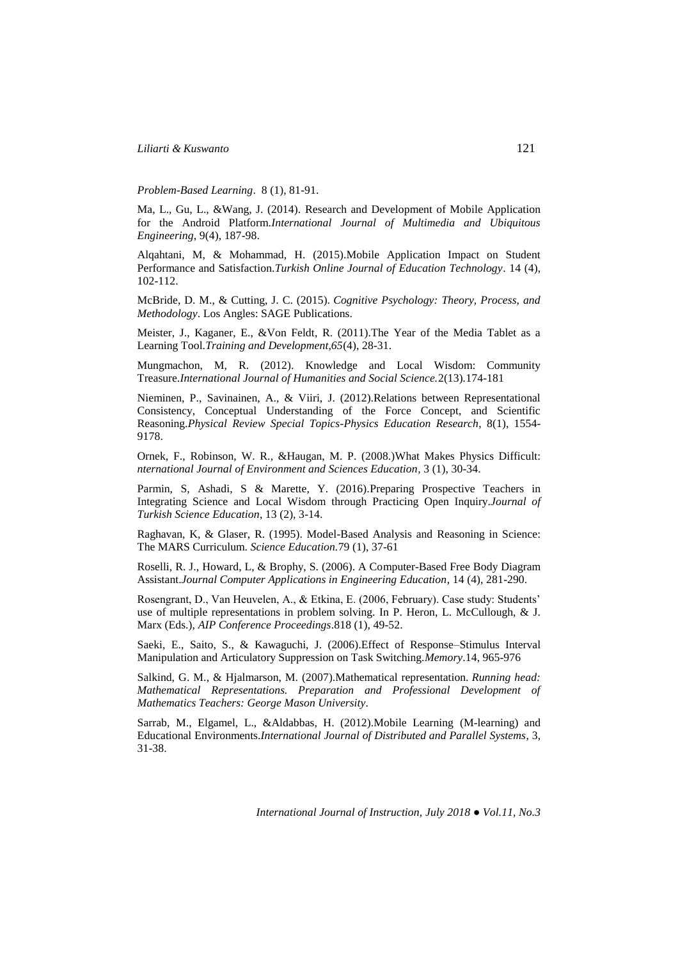*Problem-Based Learning*. 8 (1), 81-91.

Ma, L., Gu, L., &Wang, J. (2014). Research and Development of Mobile Application for the Android Platform.*International Journal of Multimedia and Ubiquitous Engineering*, 9(4), 187-98.

Alqahtani, M, & Mohammad, H. (2015).Mobile Application Impact on Student Performance and Satisfaction.*Turkish Online Journal of Education Technology*. 14 (4), 102-112.

McBride, D. M., & Cutting, J. C. (2015). *Cognitive Psychology: Theory, Process, and Methodology*. Los Angles: SAGE Publications.

Meister, J., Kaganer, E., &Von Feldt, R. (2011).The Year of the Media Tablet as a Learning Tool.*Training and Development,65*(4), 28-31.

Mungmachon, M, R. (2012). Knowledge and Local Wisdom: Community Treasure.*International Journal of Humanities and Social Science.*2(13)*.*174-181

Nieminen, P., Savinainen, A., & Viiri, J. (2012).Relations between Representational Consistency, Conceptual Understanding of the Force Concept, and Scientific Reasoning.*Physical Review Special Topics-Physics Education Research*, 8(1), 1554- 9178.

Ornek, F., Robinson, W. R., &Haugan, M. P. (2008.)What Makes Physics Difficult: *nternational Journal of Environment and Sciences Education*, 3 (1), 30-34.

Parmin, S, Ashadi, S & Marette, Y. (2016).Preparing Prospective Teachers in Integrating Science and Local Wisdom through Practicing Open Inquiry.*Journal of Turkish Science Education*, 13 (2), 3-14.

Raghavan, K, & Glaser, R. (1995). Model-Based Analysis and Reasoning in Science: The MARS Curriculum. *Science Education.*79 (1), 37-61

Roselli, R. J., Howard, L, & Brophy, S. (2006). A Computer-Based Free Body Diagram Assistant.*Journal Computer Applications in Engineering Education*, 14 (4), 281-290.

Rosengrant, D., Van Heuvelen, A., & Etkina, E. (2006, February). Case study: Students' use of multiple representations in problem solving. In P. Heron, L. McCullough, & J. Marx (Eds.), *AIP Conference Proceedings*.818 (1), 49-52.

Saeki, E., Saito, S., & Kawaguchi, J. (2006).Effect of Response–Stimulus Interval Manipulation and Articulatory Suppression on Task Switching.*Memory*.14, 965-976

Salkind, G. M., & Hjalmarson, M. (2007).Mathematical representation. *Running head: Mathematical Representations. Preparation and Professional Development of Mathematics Teachers: George Mason University*.

Sarrab, M., Elgamel, L., &Aldabbas, H. (2012).Mobile Learning (M-learning) and Educational Environments.*International Journal of Distributed and Parallel Systems*, 3, 31-38.